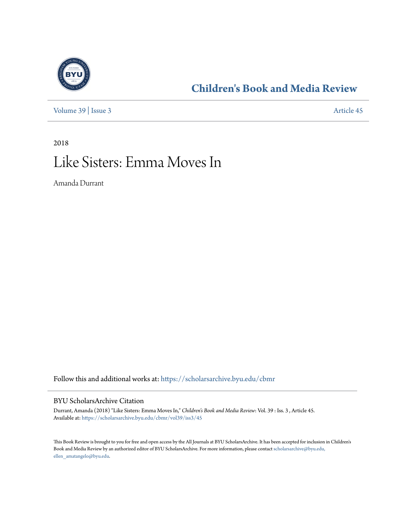

## **[Children's Book and Media Review](https://scholarsarchive.byu.edu/cbmr?utm_source=scholarsarchive.byu.edu%2Fcbmr%2Fvol39%2Fiss3%2F45&utm_medium=PDF&utm_campaign=PDFCoverPages)**

[Volume 39](https://scholarsarchive.byu.edu/cbmr/vol39?utm_source=scholarsarchive.byu.edu%2Fcbmr%2Fvol39%2Fiss3%2F45&utm_medium=PDF&utm_campaign=PDFCoverPages) | [Issue 3](https://scholarsarchive.byu.edu/cbmr/vol39/iss3?utm_source=scholarsarchive.byu.edu%2Fcbmr%2Fvol39%2Fiss3%2F45&utm_medium=PDF&utm_campaign=PDFCoverPages) [Article 45](https://scholarsarchive.byu.edu/cbmr/vol39/iss3/45?utm_source=scholarsarchive.byu.edu%2Fcbmr%2Fvol39%2Fiss3%2F45&utm_medium=PDF&utm_campaign=PDFCoverPages)

2018

# Like Sisters: Emma Moves In

Amanda Durrant

Follow this and additional works at: [https://scholarsarchive.byu.edu/cbmr](https://scholarsarchive.byu.edu/cbmr?utm_source=scholarsarchive.byu.edu%2Fcbmr%2Fvol39%2Fiss3%2F45&utm_medium=PDF&utm_campaign=PDFCoverPages)

#### BYU ScholarsArchive Citation

Durrant, Amanda (2018) "Like Sisters: Emma Moves In," *Children's Book and Media Review*: Vol. 39 : Iss. 3 , Article 45. Available at: [https://scholarsarchive.byu.edu/cbmr/vol39/iss3/45](https://scholarsarchive.byu.edu/cbmr/vol39/iss3/45?utm_source=scholarsarchive.byu.edu%2Fcbmr%2Fvol39%2Fiss3%2F45&utm_medium=PDF&utm_campaign=PDFCoverPages)

This Book Review is brought to you for free and open access by the All Journals at BYU ScholarsArchive. It has been accepted for inclusion in Children's Book and Media Review by an authorized editor of BYU ScholarsArchive. For more information, please contact [scholarsarchive@byu.edu,](mailto:scholarsarchive@byu.edu,%20ellen_amatangelo@byu.edu) [ellen\\_amatangelo@byu.edu.](mailto:scholarsarchive@byu.edu,%20ellen_amatangelo@byu.edu)